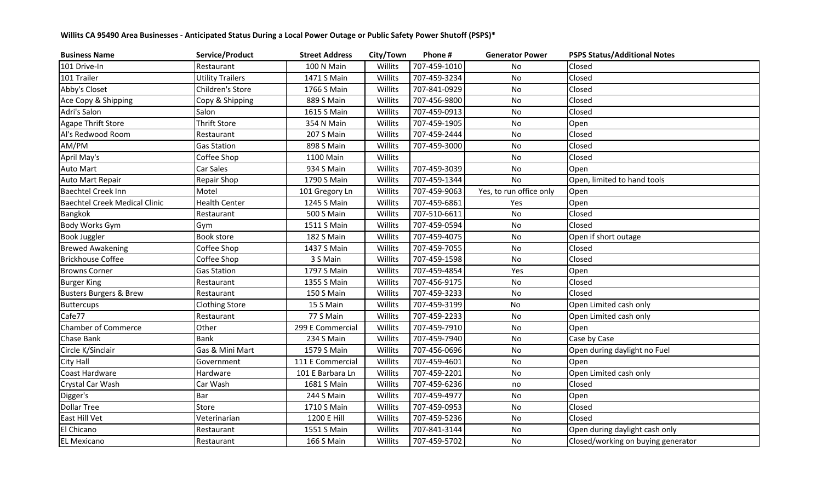## **Willits CA 95490 Area Businesses - Anticipated Status During a Local Power Outage or Public Safety Power Shutoff (PSPS)\***

| <b>Business Name</b>                 | Service/Product         | <b>Street Address</b> | City/Town | Phone #      | <b>Generator Power</b>  | <b>PSPS Status/Additional Notes</b> |
|--------------------------------------|-------------------------|-----------------------|-----------|--------------|-------------------------|-------------------------------------|
| 101 Drive-In                         | Restaurant              | 100 N Main            | Willits   | 707-459-1010 | No                      | Closed                              |
| 101 Trailer                          | <b>Utility Trailers</b> | 1471 S Main           | Willits   | 707-459-3234 | No                      | Closed                              |
| Abby's Closet                        | Children's Store        | 1766 S Main           | Willits   | 707-841-0929 | No                      | Closed                              |
| Ace Copy & Shipping                  | Copy & Shipping         | 889 S Main            | Willits   | 707-456-9800 | No                      | Closed                              |
| Adri's Salon                         | Salon                   | 1615 S Main           | Willits   | 707-459-0913 | No                      | Closed                              |
| <b>Agape Thrift Store</b>            | <b>Thrift Store</b>     | 354 N Main            | Willits   | 707-459-1905 | No                      | Open                                |
| Al's Redwood Room                    | Restaurant              | 207 S Main            | Willits   | 707-459-2444 | No                      | Closed                              |
| AM/PM                                | <b>Gas Station</b>      | 898 S Main            | Willits   | 707-459-3000 | No                      | Closed                              |
| April May's                          | Coffee Shop             | 1100 Main             | Willits   |              | No                      | Closed                              |
| Auto Mart                            | Car Sales               | 934 S Main            | Willits   | 707-459-3039 | No                      | Open                                |
| Auto Mart Repair                     | Repair Shop             | 1790 S Main           | Willits   | 707-459-1344 | <b>No</b>               | Open, limited to hand tools         |
| Baechtel Creek Inn                   | Motel                   | 101 Gregory Ln        | Willits   | 707-459-9063 | Yes, to run office only | Open                                |
| <b>Baechtel Creek Medical Clinic</b> | <b>Health Center</b>    | 1245 S Main           | Willits   | 707-459-6861 | Yes                     | Open                                |
| <b>Bangkok</b>                       | Restaurant              | <b>500 S Main</b>     | Willits   | 707-510-6611 | No                      | Closed                              |
| Body Works Gym                       | Gym                     | 1511 S Main           | Willits   | 707-459-0594 | No                      | Closed                              |
| <b>Book Juggler</b>                  | Book store              | 182 S Main            | Willits   | 707-459-4075 | No                      | Open if short outage                |
| <b>Brewed Awakening</b>              | Coffee Shop             | 1437 S Main           | Willits   | 707-459-7055 | No                      | Closed                              |
| <b>Brickhouse Coffee</b>             | Coffee Shop             | 3 S Main              | Willits   | 707-459-1598 | No                      | Closed                              |
| <b>Browns Corner</b>                 | <b>Gas Station</b>      | 1797 S Main           | Willits   | 707-459-4854 | Yes                     | Open                                |
| <b>Burger King</b>                   | Restaurant              | 1355 S Main           | Willits   | 707-456-9175 | No                      | Closed                              |
| <b>Busters Burgers &amp; Brew</b>    | Restaurant              | 150 S Main            | Willits   | 707-459-3233 | No                      | Closed                              |
| Buttercups                           | <b>Clothing Store</b>   | 15 S Main             | Willits   | 707-459-3199 | No                      | Open Limited cash only              |
| Cafe77                               | Restaurant              | 77 S Main             | Willits   | 707-459-2233 | No                      | Open Limited cash only              |
| <b>Chamber of Commerce</b>           | Other                   | 299 E Commercial      | Willits   | 707-459-7910 | No                      | Open                                |
| Chase Bank                           | <b>Bank</b>             | 234 S Main            | Willits   | 707-459-7940 | No                      | Case by Case                        |
| Circle K/Sinclair                    | Gas & Mini Mart         | 1579 S Main           | Willits   | 707-456-0696 | No                      | Open during daylight no Fuel        |
| <b>City Hall</b>                     | Government              | 111 E Commercial      | Willits   | 707-459-4601 | No                      | Open                                |
| Coast Hardware                       | Hardware                | 101 E Barbara Ln      | Willits   | 707-459-2201 | No                      | Open Limited cash only              |
| Crystal Car Wash                     | Car Wash                | 1681 S Main           | Willits   | 707-459-6236 | no                      | Closed                              |
| Digger's                             | Bar                     | 244 S Main            | Willits   | 707-459-4977 | No                      | Open                                |
| <b>Dollar Tree</b>                   | Store                   | 1710 S Main           | Willits   | 707-459-0953 | No                      | Closed                              |
| East Hill Vet                        | Veterinarian            | 1200 E Hill           | Willits   | 707-459-5236 | No                      | Closed                              |
| El Chicano                           | Restaurant              | 1551 S Main           | Willits   | 707-841-3144 | No                      | Open during daylight cash only      |
| <b>EL Mexicano</b>                   | Restaurant              | 166 S Main            | Willits   | 707-459-5702 | No                      | Closed/working on buying generator  |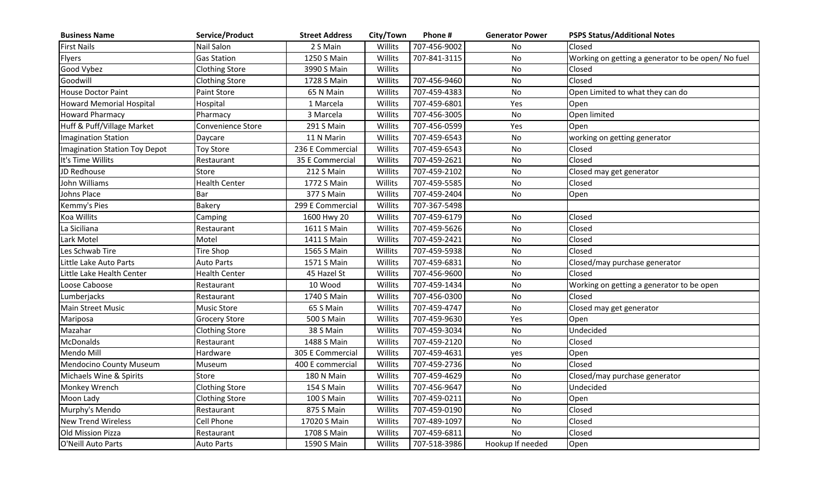| <b>Business Name</b>            | Service/Product       | <b>Street Address</b> | City/Town | Phone #      | <b>Generator Power</b> | <b>PSPS Status/Additional Notes</b>               |
|---------------------------------|-----------------------|-----------------------|-----------|--------------|------------------------|---------------------------------------------------|
| <b>First Nails</b>              | Nail Salon            | 2 S Main              | Willits   | 707-456-9002 | No.                    | Closed                                            |
| Flyers                          | <b>Gas Station</b>    | 1250 S Main           | Willits   | 707-841-3115 | No                     | Working on getting a generator to be open/No fuel |
| Good Vybez                      | <b>Clothing Store</b> | 3990 S Main           | Willits   |              | No                     | Closed                                            |
| Goodwill                        | <b>Clothing Store</b> | 1728 S Main           | Willits   | 707-456-9460 | <b>No</b>              | Closed                                            |
| <b>House Doctor Paint</b>       | Paint Store           | 65 N Main             | Willits   | 707-459-4383 | <b>No</b>              | Open Limited to what they can do                  |
| <b>Howard Memorial Hospital</b> | Hospital              | 1 Marcela             | Willits   | 707-459-6801 | Yes                    | Open                                              |
| <b>Howard Pharmacy</b>          | Pharmacy              | 3 Marcela             | Willits   | 707-456-3005 | <b>No</b>              | Open limited                                      |
| Huff & Puff/Village Market      | Convenience Store     | 291 S Main            | Willits   | 707-456-0599 | Yes                    | Open                                              |
| Imagination Station             | Daycare               | 11 N Marin            | Willits   | 707-459-6543 | <b>No</b>              | working on getting generator                      |
| Imagination Station Toy Depot   | <b>Toy Store</b>      | 236 E Commercial      | Willits   | 707-459-6543 | No                     | Closed                                            |
| It's Time Willits               | Restaurant            | 35 E Commercial       | Willits   | 707-459-2621 | <b>No</b>              | Closed                                            |
| JD Redhouse                     | Store                 | 212 S Main            | Willits   | 707-459-2102 | <b>No</b>              | Closed may get generator                          |
| John Williams                   | <b>Health Center</b>  | 1772 S Main           | Willits   | 707-459-5585 | <b>No</b>              | Closed                                            |
| Johns Place                     | Bar                   | 377 S Main            | Willits   | 707-459-2404 | <b>No</b>              | Open                                              |
| Kemmy's Pies                    | Bakery                | 299 E Commercial      | Willits   | 707-367-5498 |                        |                                                   |
| Koa Willits                     | Camping               | 1600 Hwy 20           | Willits   | 707-459-6179 | No                     | Closed                                            |
| La Siciliana                    | Restaurant            | 1611 S Main           | Willits   | 707-459-5626 | No                     | Closed                                            |
| Lark Motel                      | Motel                 | 1411 S Main           | Willits   | 707-459-2421 | No                     | Closed                                            |
| Les Schwab Tire                 | Tire Shop             | 1565 S Main           | Willits   | 707-459-5938 | No                     | Closed                                            |
| Little Lake Auto Parts          | Auto Parts            | 1571 S Main           | Willits   | 707-459-6831 | No                     | Closed/may purchase generator                     |
| Little Lake Health Center       | <b>Health Center</b>  | 45 Hazel St           | Willits   | 707-456-9600 | No                     | Closed                                            |
| Loose Caboose                   | Restaurant            | 10 Wood               | Willits   | 707-459-1434 | No                     | Working on getting a generator to be open         |
| Lumberjacks                     | Restaurant            | 1740 S Main           | Willits   | 707-456-0300 | No                     | Closed                                            |
| <b>Main Street Music</b>        | <b>Music Store</b>    | 65 S Main             | Willits   | 707-459-4747 | <b>No</b>              | Closed may get generator                          |
| Mariposa                        | <b>Grocery Store</b>  | 500 S Main            | Willits   | 707-459-9630 | Yes                    | Open                                              |
| Mazahar                         | <b>Clothing Store</b> | 38 S Main             | Willits   | 707-459-3034 | No                     | Undecided                                         |
| <b>McDonalds</b>                | Restaurant            | 1488 S Main           | Willits   | 707-459-2120 | No                     | Closed                                            |
| Mendo Mill                      | Hardware              | 305 E Commercial      | Willits   | 707-459-4631 | yes                    | Open                                              |
| Mendocino County Museum         | Museum                | 400 E commercial      | Willits   | 707-459-2736 | No                     | Closed                                            |
| Michaels Wine & Spirits         | Store                 | 180 N Main            | Willits   | 707-459-4629 | No                     | Closed/may purchase generator                     |
| Monkey Wrench                   | <b>Clothing Store</b> | 154 S Main            | Willits   | 707-456-9647 | No                     | Undecided                                         |
| Moon Lady                       | <b>Clothing Store</b> | 100 S Main            | Willits   | 707-459-0211 | <b>No</b>              | Open                                              |
| Murphy's Mendo                  | Restaurant            | 875 S Main            | Willits   | 707-459-0190 | No                     | Closed                                            |
| <b>New Trend Wireless</b>       | Cell Phone            | 17020 S Main          | Willits   | 707-489-1097 | <b>No</b>              | Closed                                            |
| Old Mission Pizza               | Restaurant            | 1708 S Main           | Willits   | 707-459-6811 | <b>No</b>              | Closed                                            |
| O'Neill Auto Parts              | <b>Auto Parts</b>     | 1590 S Main           | Willits   | 707-518-3986 | Hookup If needed       | Open                                              |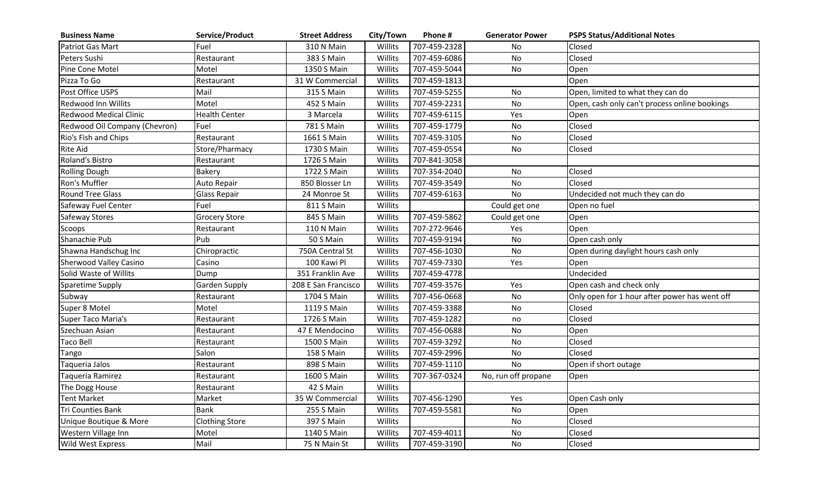| <b>Business Name</b>          | Service/Product       | <b>Street Address</b> | City/Town | Phone #      | <b>Generator Power</b> | <b>PSPS Status/Additional Notes</b>           |
|-------------------------------|-----------------------|-----------------------|-----------|--------------|------------------------|-----------------------------------------------|
| <b>Patriot Gas Mart</b>       | Fuel                  | 310 N Main            | Willits   | 707-459-2328 | N <sub>o</sub>         | Closed                                        |
| Peters Sushi                  | Restaurant            | 383 S Main            | Willits   | 707-459-6086 | <b>No</b>              | Closed                                        |
| Pine Cone Motel               | Motel                 | 1350 S Main           | Willits   | 707-459-5044 | <b>No</b>              | Open                                          |
| Pizza To Go                   | Restaurant            | 31 W Commercial       | Willits   | 707-459-1813 |                        | Open                                          |
| Post Office USPS              | Mail                  | 315 S Main            | Willits   | 707-459-5255 | No                     | Open, limited to what they can do             |
| <b>Redwood Inn Willits</b>    | Motel                 | 452 S Main            | Willits   | 707-459-2231 | <b>No</b>              | Open, cash only can't process online bookings |
| <b>Redwood Medical Clinic</b> | <b>Health Center</b>  | 3 Marcela             | Willits   | 707-459-6115 | Yes                    | Open                                          |
| Redwood Oil Company (Chevron) | Fuel                  | 781 S Main            | Willits   | 707-459-1779 | <b>No</b>              | Closed                                        |
| Rio's Fish and Chips          | Restaurant            | 1661 S Main           | Willits   | 707-459-3105 | <b>No</b>              | Closed                                        |
| <b>Rite Aid</b>               | Store/Pharmacy        | 1730 S Main           | Willits   | 707-459-0554 | <b>No</b>              | Closed                                        |
| Roland's Bistro               | Restaurant            | 1726 S Main           | Willits   | 707-841-3058 |                        |                                               |
| <b>Rolling Dough</b>          | Bakery                | 1722 S Main           | Willits   | 707-354-2040 | <b>No</b>              | Closed                                        |
| Ron's Muffler                 | Auto Repair           | 850 Blosser Ln        | Willits   | 707-459-3549 | No                     | Closed                                        |
| <b>Round Tree Glass</b>       | <b>Glass Repair</b>   | 24 Monroe St          | Willits   | 707-459-6163 | <b>No</b>              | Undecided not much they can do                |
| Safeway Fuel Center           | Fuel                  | 811 S Main            | Willits   |              | Could get one          | Open no fuel                                  |
| Safeway Stores                | <b>Grocery Store</b>  | 845 S Main            | Willits   | 707-459-5862 | Could get one          | Open                                          |
| Scoops                        | Restaurant            | 110 N Main            | Willits   | 707-272-9646 | Yes                    | Open                                          |
| Shanachie Pub                 | Pub                   | 50 S Main             | Willits   | 707-459-9194 | No                     | Open cash only                                |
| Shawna Handschug Inc          | Chiropractic          | 750A Central St       | Willits   | 707-456-1030 | No                     | Open during daylight hours cash only          |
| Sherwood Valley Casino        | Casino                | 100 Kawi Pl           | Willits   | 707-459-7330 | Yes                    | Open                                          |
| Solid Waste of Willits        | Dump                  | 351 Franklin Ave      | Willits   | 707-459-4778 |                        | Undecided                                     |
| Sparetime Supply              | <b>Garden Supply</b>  | 208 E San Francisco   | Willits   | 707-459-3576 | Yes                    | Open cash and check only                      |
| Subway                        | Restaurant            | 1704 S Main           | Willits   | 707-456-0668 | No                     | Only open for 1 hour after power has went off |
| Super 8 Motel                 | Motel                 | 1119 S Main           | Willits   | 707-459-3388 | No                     | Closed                                        |
| Super Taco Maria's            | Restaurant            | 1726 S Main           | Willits   | 707-459-1282 | no                     | Closed                                        |
| Szechuan Asian                | Restaurant            | 47 E Mendocino        | Willits   | 707-456-0688 | No                     | Open                                          |
| <b>Taco Bell</b>              | Restaurant            | 1500 S Main           | Willits   | 707-459-3292 | No                     | Closed                                        |
| Tango                         | Salon                 | 158 S Main            | Willits   | 707-459-2996 | No                     | Closed                                        |
| Taqueria Jalos                | Restaurant            | 898 S Main            | Willits   | 707-459-1110 | <b>No</b>              | Open if short outage                          |
| Taqueria Ramirez              | Restaurant            | 1600 S Main           | Willits   | 707-367-0324 | No, run off propane    | Open                                          |
| The Dogg House                | Restaurant            | 42 S Main             | Willits   |              |                        |                                               |
| <b>Tent Market</b>            | Market                | 35 W Commercial       | Willits   | 707-456-1290 | Yes                    | Open Cash only                                |
| <b>Tri Counties Bank</b>      | <b>Bank</b>           | 255 S Main            | Willits   | 707-459-5581 | No                     | Open                                          |
| Unique Boutique & More        | <b>Clothing Store</b> | 397 S Main            | Willits   |              | No                     | Closed                                        |
| Western Village Inn           | Motel                 | 1140 S Main           | Willits   | 707-459-4011 | No                     | Closed                                        |
| <b>Wild West Express</b>      | Mail                  | 75 N Main St          | Willits   | 707-459-3190 | No                     | Closed                                        |